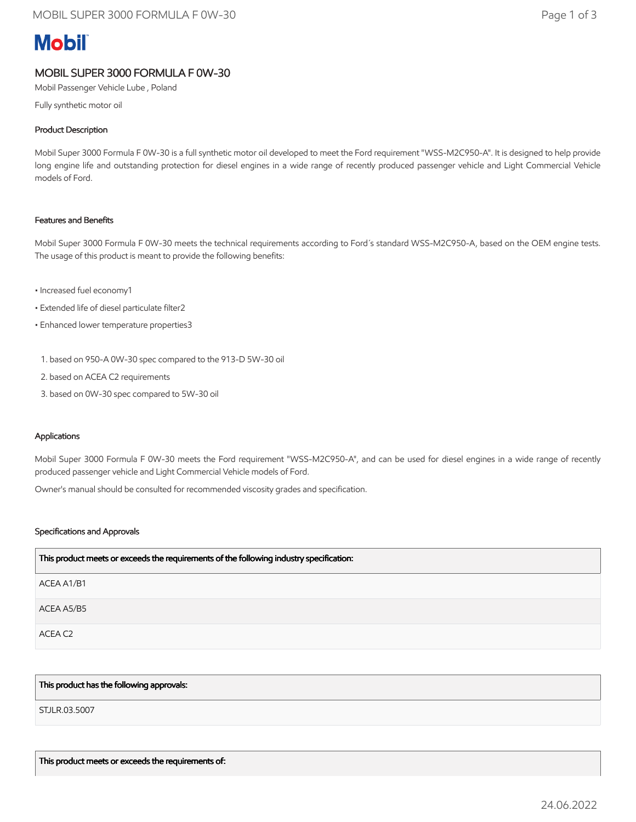# **Mobil**

# MOBIL SUPER 3000 FORMULA F 0W-30

Mobil Passenger Vehicle Lube , Poland

Fully synthetic motor oil

# Product Description

Mobil Super 3000 Formula F 0W-30 is a full synthetic motor oil developed to meet the Ford requirement "WSS-M2C950-A". It is designed to help provide long engine life and outstanding protection for diesel engines in a wide range of recently produced passenger vehicle and Light Commercial Vehicle models of Ford.

## Features and Benefits

Mobil Super 3000 Formula F 0W-30 meets the technical requirements according to Ford´s standard WSS-M2C950-A, based on the OEM engine tests. The usage of this product is meant to provide the following benefits:

- Increased fuel economy1
- Extended life of diesel particulate filter2
- Enhanced lower temperature properties3
	- 1. based on 950-A 0W-30 spec compared to the 913-D 5W-30 oil
- 2. based on ACEA C2 requirements
- 3. based on 0W-30 spec compared to 5W-30 oil

### Applications

Mobil Super 3000 Formula F 0W-30 meets the Ford requirement "WSS-M2C950-A", and can be used for diesel engines in a wide range of recently produced passenger vehicle and Light Commercial Vehicle models of Ford.

Owner's manual should be consulted for recommended viscosity grades and specification.

### Specifications and Approvals

| This product meets or exceeds the requirements of the following industry specification: |
|-----------------------------------------------------------------------------------------|
| ACEA A1/B1                                                                              |
| ACEA A5/B5                                                                              |
| ACEA C2                                                                                 |

### This product has the following approvals:

STJLR.03.5007

This product meets or exceeds the requirements of: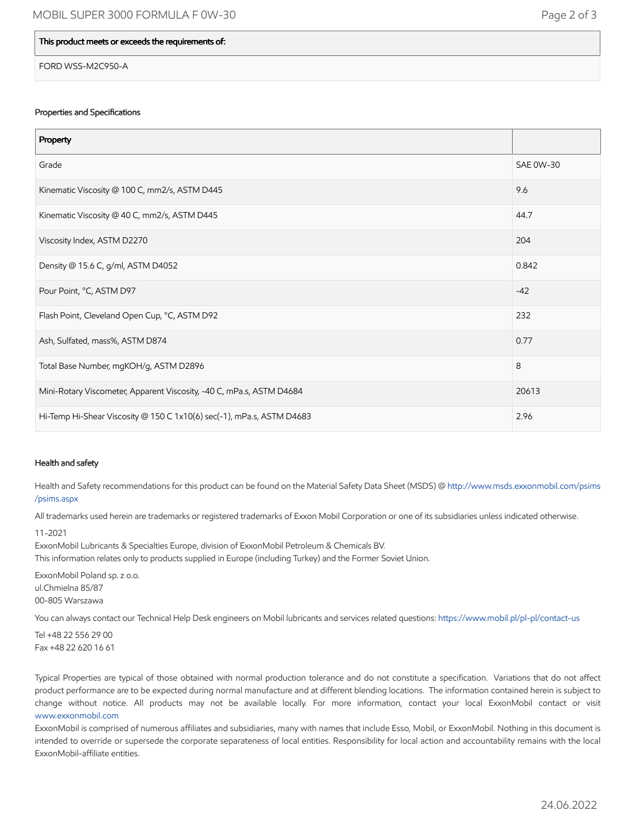### This product meets or exceeds the requirements of:

FORD WSS-M2C950-A

#### Properties and Specifications

| Property                                                              |                  |
|-----------------------------------------------------------------------|------------------|
| Grade                                                                 | <b>SAE 0W-30</b> |
| Kinematic Viscosity @ 100 C, mm2/s, ASTM D445                         | 9.6              |
| Kinematic Viscosity @ 40 C, mm2/s, ASTM D445                          | 44.7             |
| Viscosity Index, ASTM D2270                                           | 204              |
| Density @ 15.6 C, g/ml, ASTM D4052                                    | 0.842            |
| Pour Point, °C, ASTM D97                                              | $-42$            |
| Flash Point, Cleveland Open Cup, °C, ASTM D92                         | 232              |
| Ash, Sulfated, mass%, ASTM D874                                       | 0.77             |
| Total Base Number, mgKOH/g, ASTM D2896                                | 8                |
| Mini-Rotary Viscometer, Apparent Viscosity, -40 C, mPa.s, ASTM D4684  | 20613            |
| Hi-Temp Hi-Shear Viscosity @ 150 C 1x10(6) sec(-1), mPa.s, ASTM D4683 | 2.96             |

#### Health and safety

Health and Safety recommendations for this product can be found on the Material Safety Data Sheet (MSDS) @ [http://www.msds.exxonmobil.com/psims](http://www.msds.exxonmobil.com/psims/psims.aspx) /psims.aspx

All trademarks used herein are trademarks or registered trademarks of Exxon Mobil Corporation or one of its subsidiaries unless indicated otherwise.

#### 11-2021

ExxonMobil Lubricants & Specialties Europe, division of ExxonMobil Petroleum & Chemicals BV.

This information relates only to products supplied in Europe (including Turkey) and the Former Soviet Union.

ExxonMobil Poland sp. z o.o. ul.Chmielna 85/87 00-805 Warszawa

You can always contact our Technical Help Desk engineers on Mobil lubricants and services related questions:<https://www.mobil.pl/pl-pl/contact-us>

Tel +48 22 556 29 00 Fax +48 22 620 16 61

Typical Properties are typical of those obtained with normal production tolerance and do not constitute a specification. Variations that do not affect product performance are to be expected during normal manufacture and at different blending locations. The information contained herein is subject to change without notice. All products may not be available locally. For more information, contact your local ExxonMobil contact or visit [www.exxonmobil.com](http://www.exxonmobil.com/)

ExxonMobil is comprised of numerous affiliates and subsidiaries, many with names that include Esso, Mobil, or ExxonMobil. Nothing in this document is intended to override or supersede the corporate separateness of local entities. Responsibility for local action and accountability remains with the local ExxonMobil-affiliate entities.